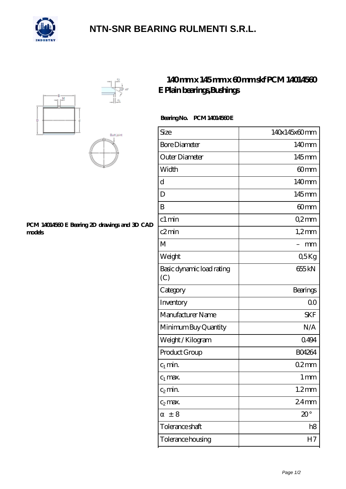

## **[NTN-SNR BEARING RULMENTI S.R.L.](https://m.confidencemenimprov.com)**





#### **[PCM 14014560 E Bearing 2D drawings and 3D CAD](https://m.confidencemenimprov.com/pic-64974520.html) [models](https://m.confidencemenimprov.com/pic-64974520.html)**

### **[140 mm x 145 mm x 60 mm skf PCM 14014560](https://m.confidencemenimprov.com/bh-64974520-skf-pcm-14014560-e-plain-bearings-bushings.html) [E Plain bearings,Bushings](https://m.confidencemenimprov.com/bh-64974520-skf-pcm-14014560-e-plain-bearings-bushings.html)**

### **Bearing No. PCM 14014560E**

| Size                             | 140x145x60mm      |
|----------------------------------|-------------------|
| <b>Bore Diameter</b>             | 140mm             |
| Outer Diameter                   | 145mm             |
| Width                            | 60mm              |
| d                                | 140mm             |
| D                                | 145mm             |
| B                                | 60 <sub>mm</sub>  |
| c1 min                           | Q2mm              |
| c2min                            | $1,2$ mm          |
| M                                | mm                |
| Weight                           | 05Kg              |
| Basic dynamic load rating<br>(C) | 655kN             |
| Category                         | Bearings          |
| Inventory                        | 0 <sup>0</sup>    |
| Manufacturer Name                | <b>SKF</b>        |
| Minimum Buy Quantity             | N/A               |
| Weight / Kilogram                | 0494              |
| Product Group                    | <b>BO4264</b>     |
| $c_1$ min.                       | $02$ mm           |
| $C_1$ max.                       | $1 \,\mathrm{mm}$ |
| $c_2$ min.                       | $1.2$ mm          |
| $c_2$ max.                       | 24 <sub>mm</sub>  |
| ± 8                              | $20^{\circ}$      |
| Tolerance shaft                  | h8                |
| Tolerance housing                | H7                |